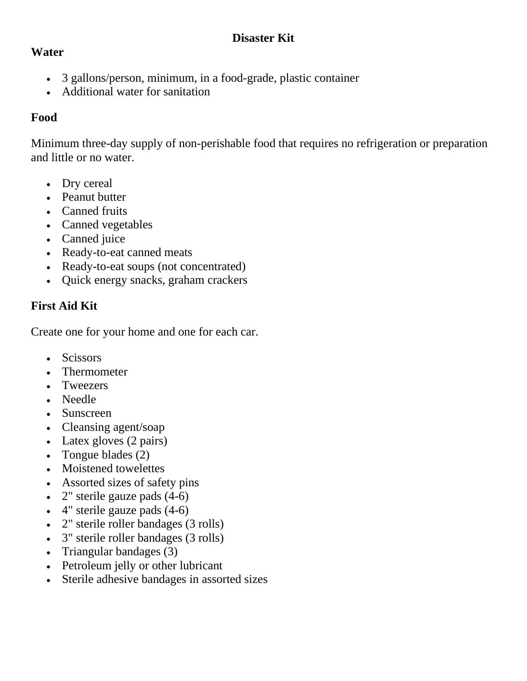## **Disaster Kit**

### **Water**

- 3 gallons/person, minimum, in a food-grade, plastic container
- Additional water for sanitation

## **Food**

Minimum three-day supply of non-perishable food that requires no refrigeration or preparation and little or no water.

- Dry cereal
- Peanut butter
- Canned fruits
- Canned vegetables
- Canned juice
- Ready-to-eat canned meats
- Ready-to-eat soups (not concentrated)
- Quick energy snacks, graham crackers

# **First Aid Kit**

Create one for your home and one for each car.

- Scissors
- Thermometer
- Tweezers
- Needle
- Sunscreen
- Cleansing agent/soap
- Latex gloves (2 pairs)
- Tongue blades (2)
- Moistened towelettes
- Assorted sizes of safety pins
- 2" sterile gauze pads (4-6)
- 4" sterile gauze pads (4-6)
- 2" sterile roller bandages (3 rolls)
- 3" sterile roller bandages (3 rolls)
- Triangular bandages (3)
- Petroleum jelly or other lubricant
- Sterile adhesive bandages in assorted sizes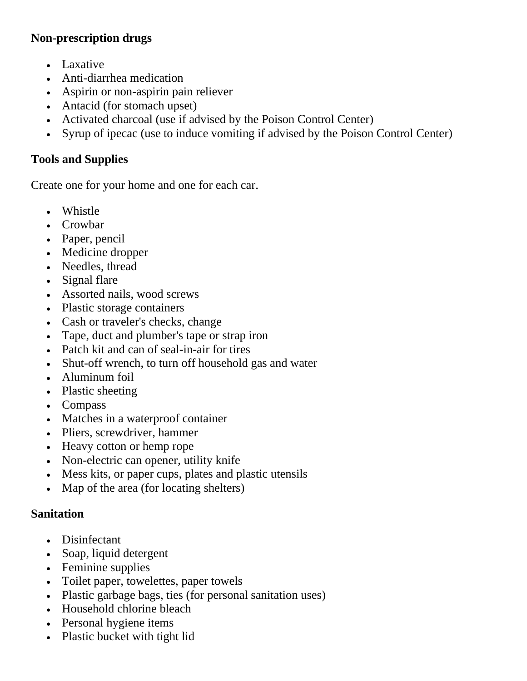### **Non-prescription drugs**

- Laxative
- Anti-diarrhea medication
- Aspirin or non-aspirin pain reliever
- Antacid (for stomach upset)
- Activated charcoal (use if advised by the Poison Control Center)
- Syrup of ipecac (use to induce vomiting if advised by the Poison Control Center)

### **Tools and Supplies**

Create one for your home and one for each car.

- Whistle
- Crowbar
- Paper, pencil
- Medicine dropper
- Needles, thread
- Signal flare
- Assorted nails, wood screws
- Plastic storage containers
- Cash or traveler's checks, change
- Tape, duct and plumber's tape or strap iron
- Patch kit and can of seal-in-air for tires
- Shut-off wrench, to turn off household gas and water
- Aluminum foil
- Plastic sheeting
- Compass
- Matches in a waterproof container
- Pliers, screwdriver, hammer
- Heavy cotton or hemp rope
- Non-electric can opener, utility knife
- Mess kits, or paper cups, plates and plastic utensils
- Map of the area (for locating shelters)

### **Sanitation**

- Disinfectant
- Soap, liquid detergent
- Feminine supplies
- Toilet paper, towelettes, paper towels
- Plastic garbage bags, ties (for personal sanitation uses)
- Household chlorine bleach
- Personal hygiene items
- Plastic bucket with tight lid